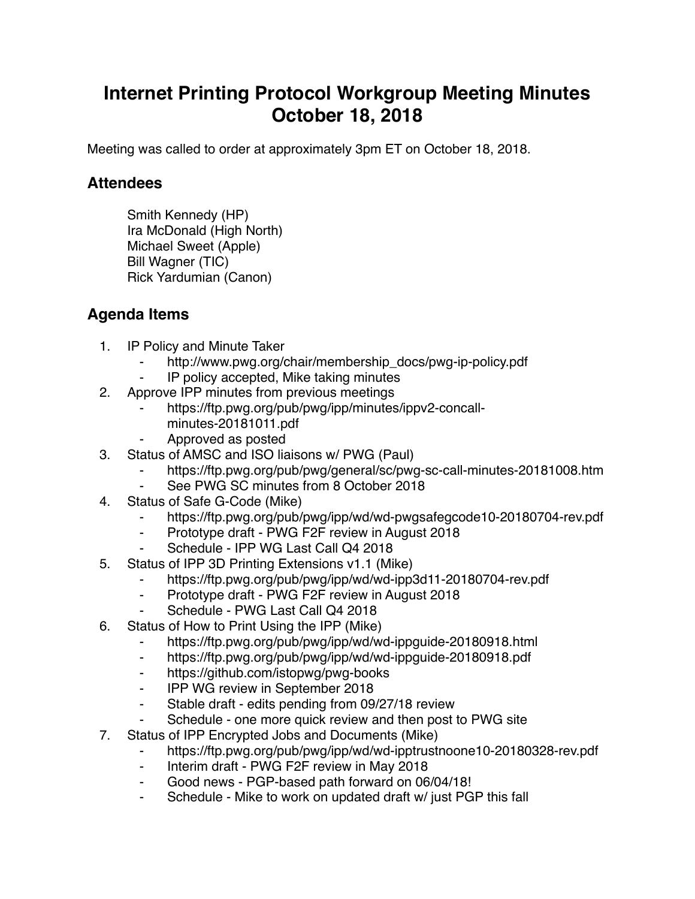## **Internet Printing Protocol Workgroup Meeting Minutes October 18, 2018**

Meeting was called to order at approximately 3pm ET on October 18, 2018.

## **Attendees**

Smith Kennedy (HP) Ira McDonald (High North) Michael Sweet (Apple) Bill Wagner (TIC) Rick Yardumian (Canon)

## **Agenda Items**

- 1. IP Policy and Minute Taker
	- http://www.pwg.org/chair/membership\_docs/pwg-ip-policy.pdf
	- IP policy accepted, Mike taking minutes
- 2. Approve IPP minutes from previous meetings
	- https://ftp.pwg.org/pub/pwg/ipp/minutes/ippv2-concallminutes-20181011.pdf
	- ⁃ Approved as posted
- 3. Status of AMSC and ISO liaisons w/ PWG (Paul)
	- https://ftp.pwg.org/pub/pwg/general/sc/pwg-sc-call-minutes-20181008.htm
	- See PWG SC minutes from 8 October 2018
- 4. Status of Safe G-Code (Mike)
	- https://ftp.pwg.org/pub/pwg/ipp/wd/wd-pwgsafegcode10-20180704-rev.pdf
	- ⁃ Prototype draft PWG F2F review in August 2018
	- Schedule IPP WG Last Call Q4 2018
- 5. Status of IPP 3D Printing Extensions v1.1 (Mike)
	- https://ftp.pwg.org/pub/pwg/ipp/wd/wd-ipp3d11-20180704-rev.pdf
	- ⁃ Prototype draft PWG F2F review in August 2018
	- Schedule PWG Last Call Q4 2018
- 6. Status of How to Print Using the IPP (Mike)
	- ⁃ https://ftp.pwg.org/pub/pwg/ipp/wd/wd-ippguide-20180918.html
	- ⁃ https://ftp.pwg.org/pub/pwg/ipp/wd/wd-ippguide-20180918.pdf
	- ⁃ https://github.com/istopwg/pwg-books
	- ⁃ IPP WG review in September 2018
	- ⁃ Stable draft edits pending from 09/27/18 review
	- Schedule one more quick review and then post to PWG site
- 7. Status of IPP Encrypted Jobs and Documents (Mike)
	- https://ftp.pwg.org/pub/pwg/ipp/wd/wd-ipptrustnoone10-20180328-rev.pdf
	- ⁃ Interim draft PWG F2F review in May 2018
	- Good news PGP-based path forward on 06/04/18!
	- Schedule Mike to work on updated draft w/ just PGP this fall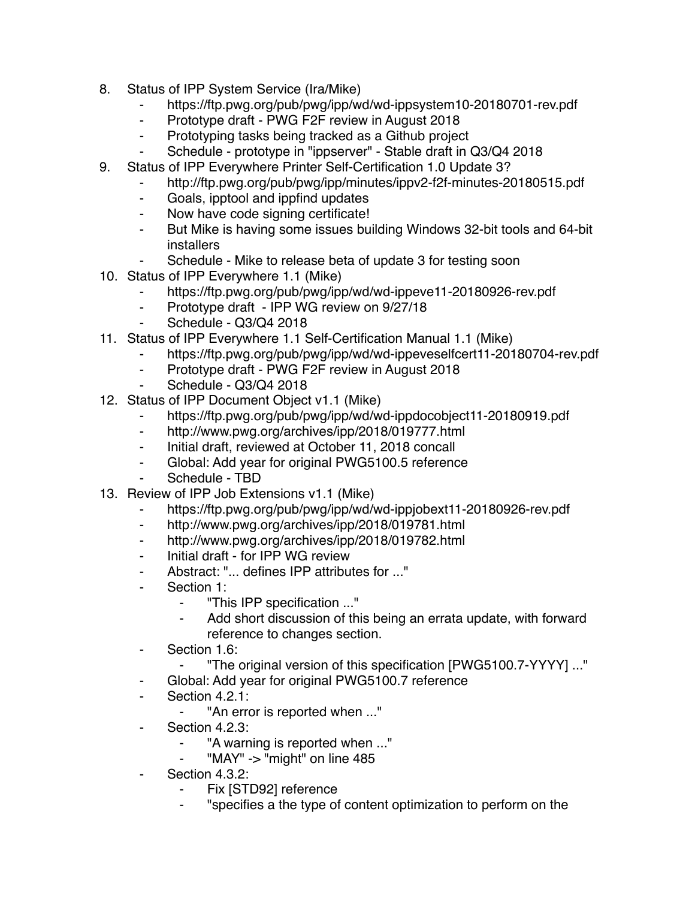- 8. Status of IPP System Service (Ira/Mike)
	- ⁃ https://ftp.pwg.org/pub/pwg/ipp/wd/wd-ippsystem10-20180701-rev.pdf
	- Prototype draft PWG F2F review in August 2018
	- ⁃ Prototyping tasks being tracked as a Github project
	- ⁃ Schedule prototype in "ippserver" Stable draft in Q3/Q4 2018
- 9. Status of IPP Everywhere Printer Self-Certification 1.0 Update 3?
	- ⁃ http://ftp.pwg.org/pub/pwg/ipp/minutes/ippv2-f2f-minutes-20180515.pdf
		- ⁃ Goals, ipptool and ippfind updates
	- ⁃ Now have code signing certificate!
	- ⁃ But Mike is having some issues building Windows 32-bit tools and 64-bit installers
	- Schedule Mike to release beta of update 3 for testing soon
- 10. Status of IPP Everywhere 1.1 (Mike)
	- https://ftp.pwg.org/pub/pwg/ipp/wd/wd-ippeve11-20180926-rev.pdf
	- ⁃ Prototype draft IPP WG review on 9/27/18
	- Schedule Q3/Q4 2018
- 11. Status of IPP Everywhere 1.1 Self-Certification Manual 1.1 (Mike)
	- https://ftp.pwg.org/pub/pwg/ipp/wd/wd-ippeveselfcert11-20180704-rev.pdf
	- ⁃ Prototype draft PWG F2F review in August 2018
	- Schedule Q3/Q4 2018
- 12. Status of IPP Document Object v1.1 (Mike)
	- https://ftp.pwg.org/pub/pwg/ipp/wd/wd-ippdocobject11-20180919.pdf
	- http://www.pwg.org/archives/ipp/2018/019777.html
	- ⁃ Initial draft, reviewed at October 11, 2018 concall
	- ⁃ Global: Add year for original PWG5100.5 reference
	- Schedule TBD
- 13. Review of IPP Job Extensions v1.1 (Mike)
	- https://ftp.pwg.org/pub/pwg/ipp/wd/wd-ippjobext11-20180926-rev.pdf
	- ⁃ http://www.pwg.org/archives/ipp/2018/019781.html
	- ⁃ http://www.pwg.org/archives/ipp/2018/019782.html
	- ⁃ Initial draft for IPP WG review
	- ⁃ Abstract: "... defines IPP attributes for ..."
	- Section 1:
		- ⁃ "This IPP specification ..."
		- ⁃ Add short discussion of this being an errata update, with forward reference to changes section.
	- ⁃ Section 1.6:
		- ⁃ "The original version of this specification [PWG5100.7-YYYY] ..."
	- ⁃ Global: Add year for original PWG5100.7 reference
	- Section 4.2.1:
		- "An error is reported when ..."
	- ⁃ Section 4.2.3:
		- "A warning is reported when ..."
		- "MAY" -> "might" on line 485
	- Section 4.3.2:
		- Fix [STD92] reference
		- ⁃ "specifies a the type of content optimization to perform on the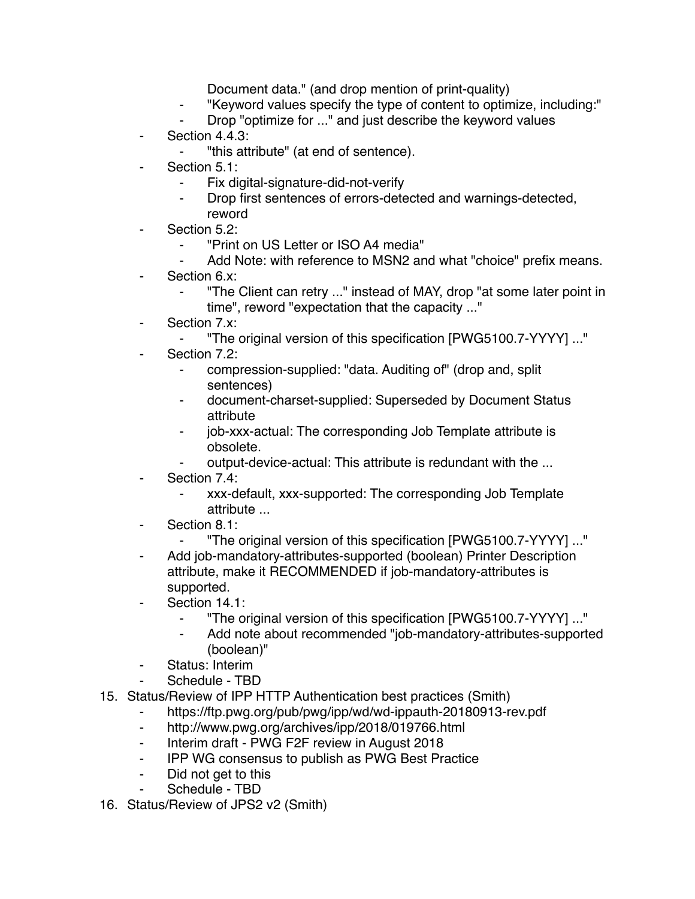Document data." (and drop mention of print-quality)

- ⁃ "Keyword values specify the type of content to optimize, including:"
- Drop "optimize for ..." and just describe the keyword values
- ⁃ Section 4.4.3:
	- ⁃ "this attribute" (at end of sentence).
- Section 5.1:
	- ⁃ Fix digital-signature-did-not-verify
	- Drop first sentences of errors-detected and warnings-detected, reword
- Section 5.2:
	- ⁃ "Print on US Letter or ISO A4 media"
	- Add Note: with reference to MSN2 and what "choice" prefix means.
- Section 6.x:
	- "The Client can retry ..." instead of MAY, drop "at some later point in time", reword "expectation that the capacity ..."
- Section 7.x:
	- ⁃ "The original version of this specification [PWG5100.7-YYYY] ..."
- Section 7.2:
	- compression-supplied: "data. Auditing of" (drop and, split sentences)
	- ⁃ document-charset-supplied: Superseded by Document Status attribute
	- job-xxx-actual: The corresponding Job Template attribute is obsolete.
	- output-device-actual: This attribute is redundant with the ...
- Section 7.4:
	- ⁃ xxx-default, xxx-supported: The corresponding Job Template attribute ...
- Section 8.1:
	- ⁃ "The original version of this specification [PWG5100.7-YYYY] ..."
- Add job-mandatory-attributes-supported (boolean) Printer Description attribute, make it RECOMMENDED if job-mandatory-attributes is supported.
- Section 14.1:
	- ⁃ "The original version of this specification [PWG5100.7-YYYY] ..."
	- Add note about recommended "job-mandatory-attributes-supported (boolean)"
- Status: Interim
- Schedule TBD
- 15. Status/Review of IPP HTTP Authentication best practices (Smith)
	- https://ftp.pwg.org/pub/pwg/ipp/wd/wd-ippauth-20180913-rev.pdf
	- ⁃ http://www.pwg.org/archives/ipp/2018/019766.html
	- Interim draft PWG F2F review in August 2018
	- ⁃ IPP WG consensus to publish as PWG Best Practice
	- ⁃ Did not get to this
	- Schedule TBD
- 16. Status/Review of JPS2 v2 (Smith)